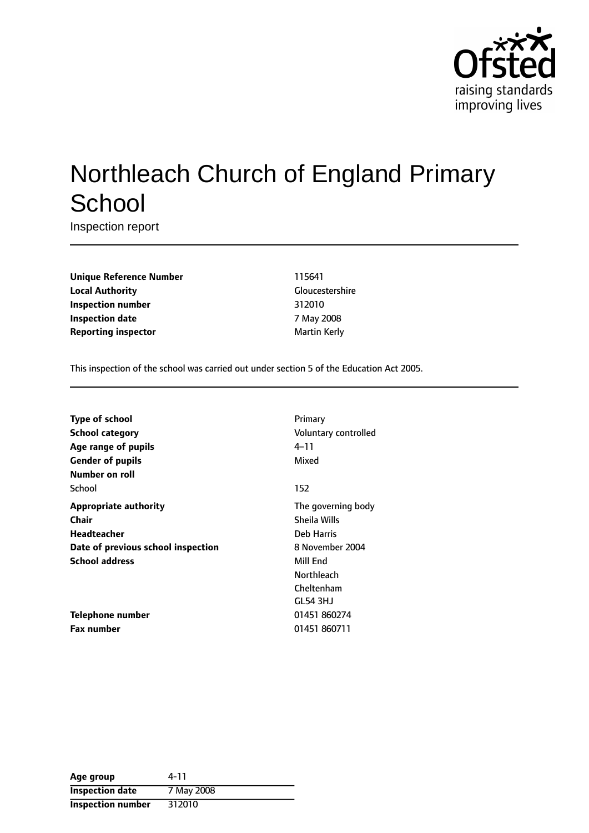

# Northleach Church of England Primary **School**

Inspection report

**Unique Reference Number** 115641 **Local Authority** Gloucestershire **Inspection number** 312010 **Inspection date** 7 May 2008 **Reporting inspector** and **a matter of the Martin Kerly** 

This inspection of the school was carried out under section 5 of the Education Act 2005.

| <b>Type of school</b>              | Primary              |
|------------------------------------|----------------------|
| <b>School category</b>             | Voluntary controlled |
| Age range of pupils                | 4–11                 |
| <b>Gender of pupils</b>            | Mixed                |
| Number on roll                     |                      |
| School                             | 152                  |
| <b>Appropriate authority</b>       | The governing body   |
| Chair                              | Sheila Wills         |
| <b>Headteacher</b>                 | Deb Harris           |
| Date of previous school inspection | 8 November 2004      |
| <b>School address</b>              | Mill End             |
|                                    | Northleach           |
|                                    | Cheltenham           |
|                                    | GL54 3HJ             |
| Telephone number                   | 01451 860274         |
| <b>Fax number</b>                  | 01451 860711         |

| Age group              | 4-11       |
|------------------------|------------|
| <b>Inspection date</b> | 7 May 2008 |
| Inspection number      | 312010     |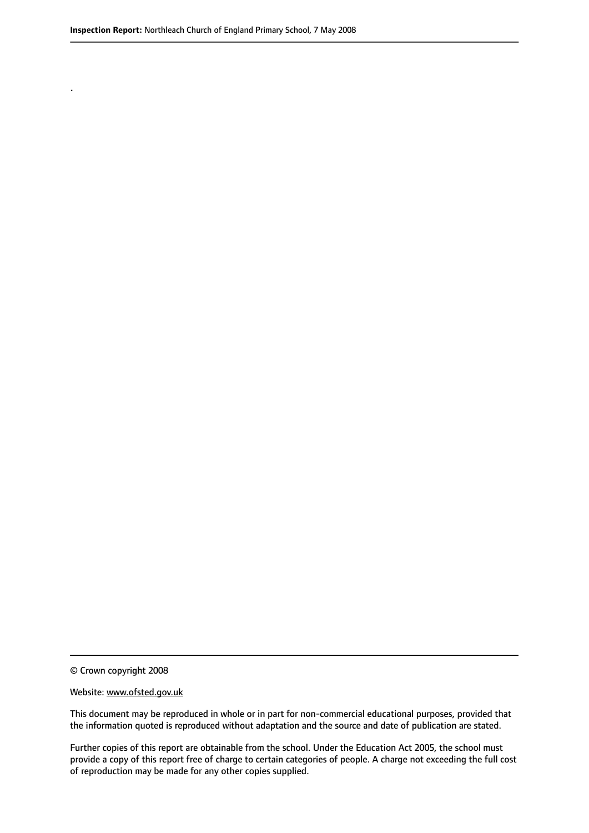.

© Crown copyright 2008

#### Website: www.ofsted.gov.uk

This document may be reproduced in whole or in part for non-commercial educational purposes, provided that the information quoted is reproduced without adaptation and the source and date of publication are stated.

Further copies of this report are obtainable from the school. Under the Education Act 2005, the school must provide a copy of this report free of charge to certain categories of people. A charge not exceeding the full cost of reproduction may be made for any other copies supplied.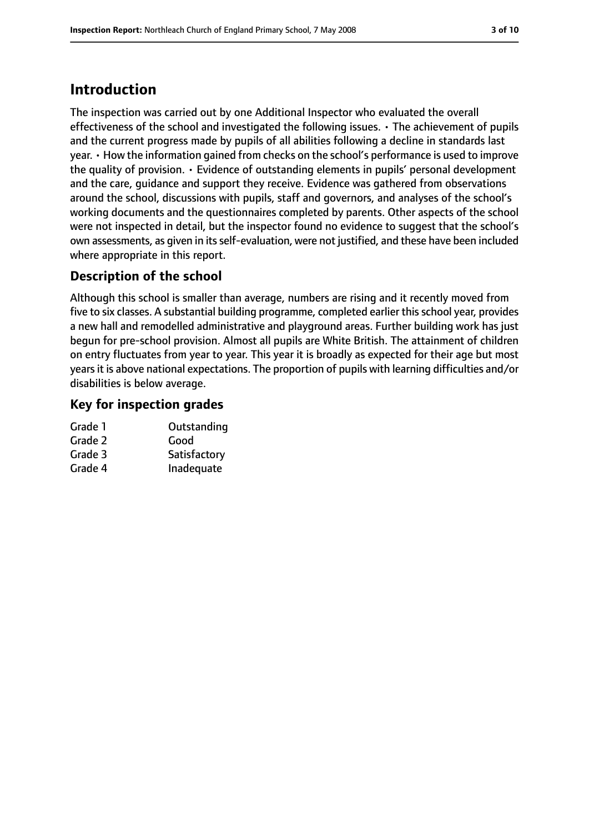# **Introduction**

The inspection was carried out by one Additional Inspector who evaluated the overall effectiveness of the school and investigated the following issues. • The achievement of pupils and the current progress made by pupils of all abilities following a decline in standards last year. • How the information gained from checks on the school's performance is used to improve the quality of provision. • Evidence of outstanding elements in pupils' personal development and the care, guidance and support they receive. Evidence was gathered from observations around the school, discussions with pupils, staff and governors, and analyses of the school's working documents and the questionnaires completed by parents. Other aspects of the school were not inspected in detail, but the inspector found no evidence to suggest that the school's own assessments, as given in its self-evaluation, were not justified, and these have been included where appropriate in this report.

#### **Description of the school**

Although this school is smaller than average, numbers are rising and it recently moved from five to six classes. A substantial building programme, completed earlier thisschool year, provides a new hall and remodelled administrative and playground areas. Further building work has just begun for pre-school provision. Almost all pupils are White British. The attainment of children on entry fluctuates from year to year. This year it is broadly as expected for their age but most years it is above national expectations. The proportion of pupils with learning difficulties and/or disabilities is below average.

#### **Key for inspection grades**

| Grade 1 | Outstanding  |
|---------|--------------|
| Grade 2 | Good         |
| Grade 3 | Satisfactory |
| Grade 4 | Inadequate   |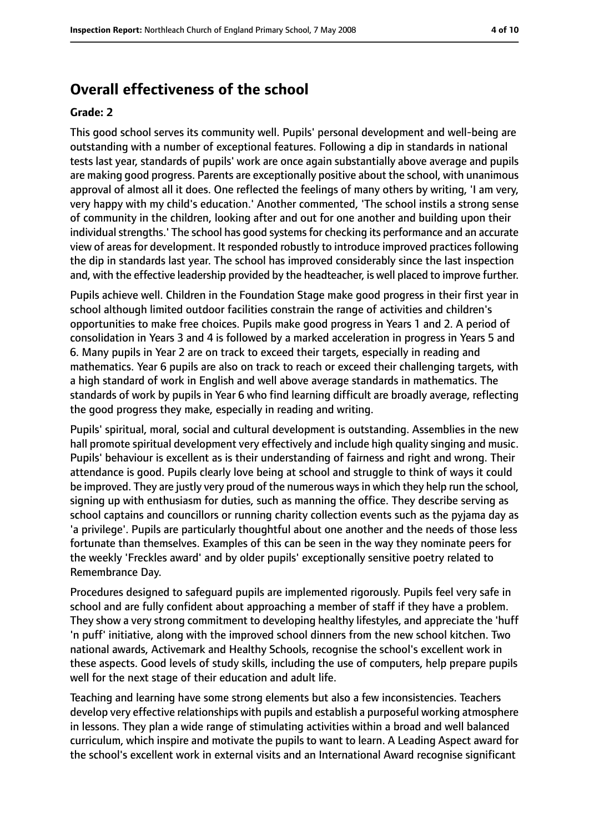### **Overall effectiveness of the school**

#### **Grade: 2**

This good school serves its community well. Pupils' personal development and well-being are outstanding with a number of exceptional features. Following a dip in standards in national tests last year, standards of pupils' work are once again substantially above average and pupils are making good progress. Parents are exceptionally positive about the school, with unanimous approval of almost all it does. One reflected the feelings of many others by writing, 'I am very, very happy with my child's education.' Another commented, 'The school instils a strong sense of community in the children, looking after and out for one another and building upon their individual strengths.' The school has good systems for checking its performance and an accurate view of areas for development. It responded robustly to introduce improved practices following the dip in standards last year. The school has improved considerably since the last inspection and, with the effective leadership provided by the headteacher, is well placed to improve further.

Pupils achieve well. Children in the Foundation Stage make good progress in their first year in school although limited outdoor facilities constrain the range of activities and children's opportunities to make free choices. Pupils make good progress in Years 1 and 2. A period of consolidation in Years 3 and 4 is followed by a marked acceleration in progress in Years 5 and 6. Many pupils in Year 2 are on track to exceed their targets, especially in reading and mathematics. Year 6 pupils are also on track to reach or exceed their challenging targets, with a high standard of work in English and well above average standards in mathematics. The standards of work by pupils in Year 6 who find learning difficult are broadly average, reflecting the good progress they make, especially in reading and writing.

Pupils' spiritual, moral, social and cultural development is outstanding. Assemblies in the new hall promote spiritual development very effectively and include high quality singing and music. Pupils' behaviour is excellent as is their understanding of fairness and right and wrong. Their attendance is good. Pupils clearly love being at school and struggle to think of ways it could be improved. They are justly very proud of the numerous ways in which they help run the school, signing up with enthusiasm for duties, such as manning the office. They describe serving as school captains and councillors or running charity collection events such as the pyjama day as 'a privilege'. Pupils are particularly thoughtful about one another and the needs of those less fortunate than themselves. Examples of this can be seen in the way they nominate peers for the weekly 'Freckles award' and by older pupils' exceptionally sensitive poetry related to Remembrance Day.

Procedures designed to safeguard pupils are implemented rigorously. Pupils feel very safe in school and are fully confident about approaching a member of staff if they have a problem. They show a very strong commitment to developing healthy lifestyles, and appreciate the 'huff 'n puff' initiative, along with the improved school dinners from the new school kitchen. Two national awards, Activemark and Healthy Schools, recognise the school's excellent work in these aspects. Good levels of study skills, including the use of computers, help prepare pupils well for the next stage of their education and adult life.

Teaching and learning have some strong elements but also a few inconsistencies. Teachers develop very effective relationships with pupils and establish a purposeful working atmosphere in lessons. They plan a wide range of stimulating activities within a broad and well balanced curriculum, which inspire and motivate the pupils to want to learn. A Leading Aspect award for the school's excellent work in external visits and an International Award recognise significant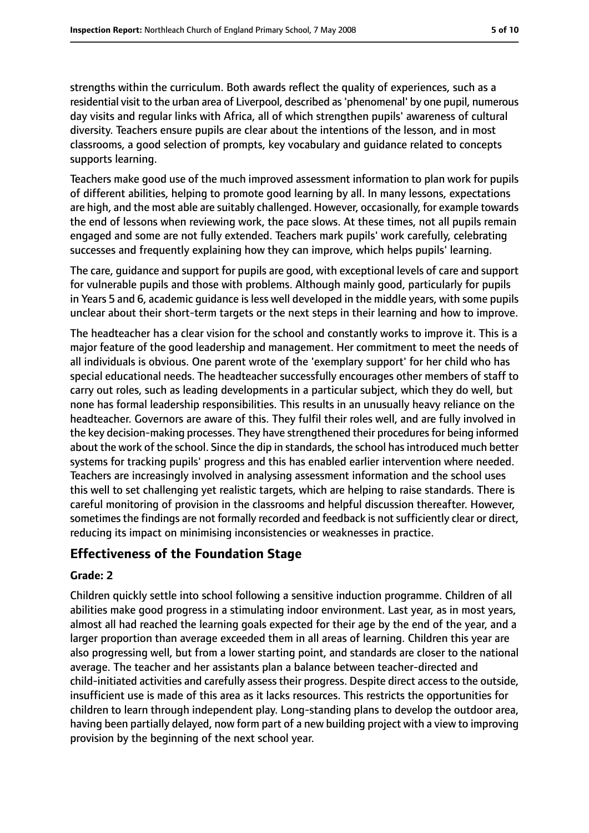strengths within the curriculum. Both awards reflect the quality of experiences, such as a residential visit to the urban area of Liverpool, described as'phenomenal' by one pupil, numerous day visits and regular links with Africa, all of which strengthen pupils' awareness of cultural diversity. Teachers ensure pupils are clear about the intentions of the lesson, and in most classrooms, a good selection of prompts, key vocabulary and guidance related to concepts supports learning.

Teachers make good use of the much improved assessment information to plan work for pupils of different abilities, helping to promote good learning by all. In many lessons, expectations are high, and the most able are suitably challenged. However, occasionally, for example towards the end of lessons when reviewing work, the pace slows. At these times, not all pupils remain engaged and some are not fully extended. Teachers mark pupils' work carefully, celebrating successes and frequently explaining how they can improve, which helps pupils' learning.

The care, guidance and support for pupils are good, with exceptional levels of care and support for vulnerable pupils and those with problems. Although mainly good, particularly for pupils in Years 5 and 6, academic guidance is less well developed in the middle years, with some pupils unclear about their short-term targets or the next steps in their learning and how to improve.

The headteacher has a clear vision for the school and constantly works to improve it. This is a major feature of the good leadership and management. Her commitment to meet the needs of all individuals is obvious. One parent wrote of the 'exemplary support' for her child who has special educational needs. The headteacher successfully encourages other members of staff to carry out roles, such as leading developments in a particular subject, which they do well, but none has formal leadership responsibilities. This results in an unusually heavy reliance on the headteacher. Governors are aware of this. They fulfil their roles well, and are fully involved in the key decision-making processes. They have strengthened their proceduresfor being informed about the work of the school. Since the dip in standards, the school has introduced much better systems for tracking pupils' progress and this has enabled earlier intervention where needed. Teachers are increasingly involved in analysing assessment information and the school uses this well to set challenging yet realistic targets, which are helping to raise standards. There is careful monitoring of provision in the classrooms and helpful discussion thereafter. However, sometimes the findings are not formally recorded and feedback is not sufficiently clear or direct, reducing its impact on minimising inconsistencies or weaknesses in practice.

# **Effectiveness of the Foundation Stage**

#### **Grade: 2**

Children quickly settle into school following a sensitive induction programme. Children of all abilities make good progress in a stimulating indoor environment. Last year, as in most years, almost all had reached the learning goals expected for their age by the end of the year, and a larger proportion than average exceeded them in all areas of learning. Children this year are also progressing well, but from a lower starting point, and standards are closer to the national average. The teacher and her assistants plan a balance between teacher-directed and child-initiated activities and carefully assess their progress. Despite direct access to the outside, insufficient use is made of this area as it lacks resources. This restricts the opportunities for children to learn through independent play. Long-standing plans to develop the outdoor area, having been partially delayed, now form part of a new building project with a view to improving provision by the beginning of the next school year.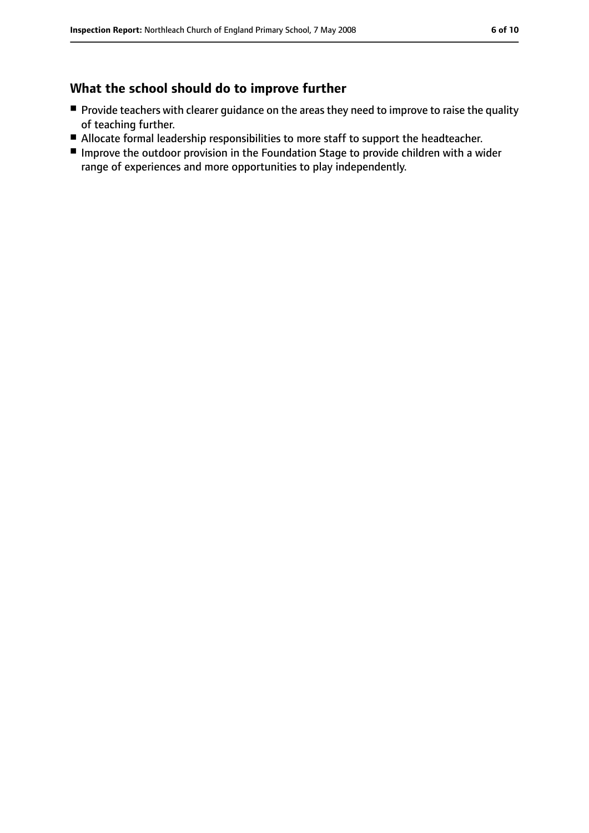#### **What the school should do to improve further**

- Provide teachers with clearer guidance on the areas they need to improve to raise the quality of teaching further.
- Allocate formal leadership responsibilities to more staff to support the headteacher.
- Improve the outdoor provision in the Foundation Stage to provide children with a wider range of experiences and more opportunities to play independently.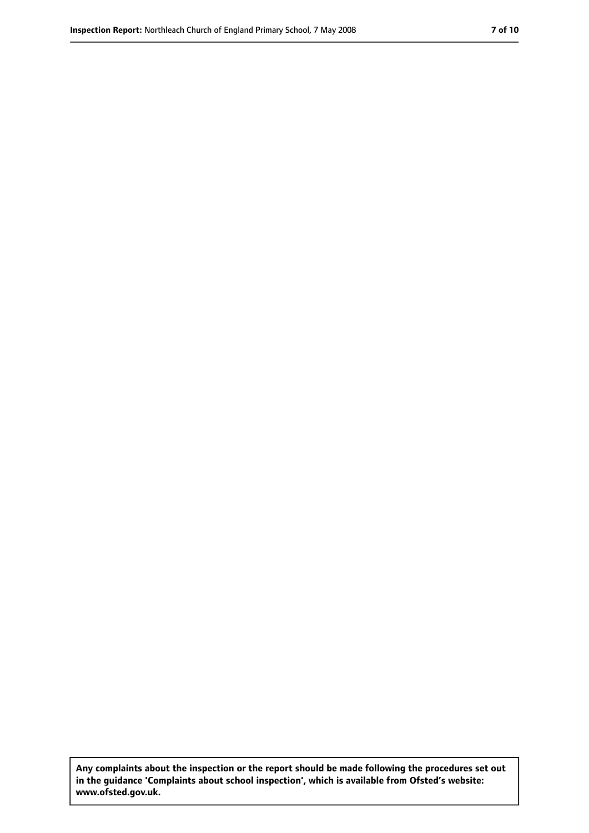**Any complaints about the inspection or the report should be made following the procedures set out in the guidance 'Complaints about school inspection', which is available from Ofsted's website: www.ofsted.gov.uk.**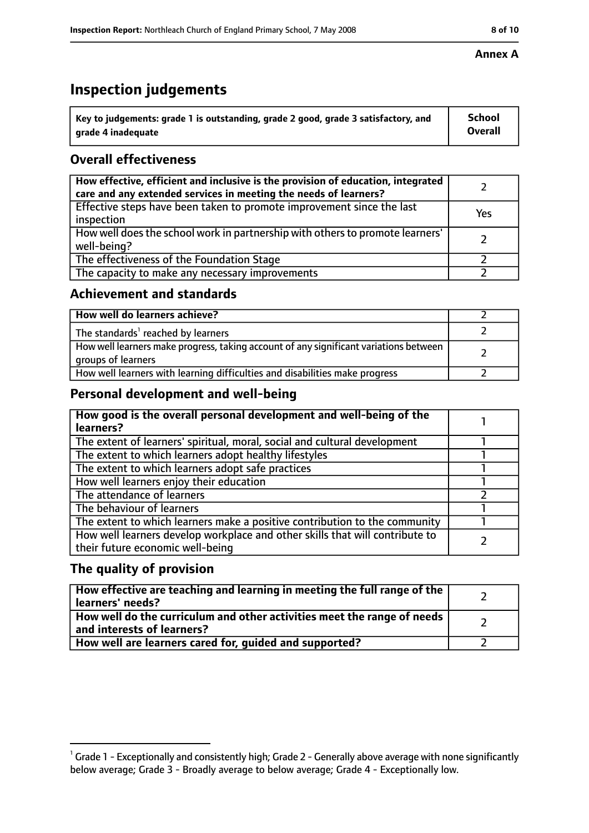# **Inspection judgements**

| $^{\backprime}$ Key to judgements: grade 1 is outstanding, grade 2 good, grade 3 satisfactory, and | <b>School</b>  |
|----------------------------------------------------------------------------------------------------|----------------|
| arade 4 inadeguate                                                                                 | <b>Overall</b> |

#### **Overall effectiveness**

| How effective, efficient and inclusive is the provision of education, integrated<br>care and any extended services in meeting the needs of learners? |     |
|------------------------------------------------------------------------------------------------------------------------------------------------------|-----|
| Effective steps have been taken to promote improvement since the last<br>inspection                                                                  | Yes |
| How well does the school work in partnership with others to promote learners'<br>well-being?                                                         |     |
| The effectiveness of the Foundation Stage                                                                                                            |     |
| The capacity to make any necessary improvements                                                                                                      |     |

#### **Achievement and standards**

| How well do learners achieve?                                                                               |  |
|-------------------------------------------------------------------------------------------------------------|--|
| The standards <sup>1</sup> reached by learners                                                              |  |
| How well learners make progress, taking account of any significant variations between<br>groups of learners |  |
| How well learners with learning difficulties and disabilities make progress                                 |  |

#### **Personal development and well-being**

| How good is the overall personal development and well-being of the<br>learners?                                  |  |
|------------------------------------------------------------------------------------------------------------------|--|
| The extent of learners' spiritual, moral, social and cultural development                                        |  |
| The extent to which learners adopt healthy lifestyles                                                            |  |
| The extent to which learners adopt safe practices                                                                |  |
| How well learners enjoy their education                                                                          |  |
| The attendance of learners                                                                                       |  |
| The behaviour of learners                                                                                        |  |
| The extent to which learners make a positive contribution to the community                                       |  |
| How well learners develop workplace and other skills that will contribute to<br>their future economic well-being |  |

#### **The quality of provision**

| How effective are teaching and learning in meeting the full range of the<br>learners' needs?          |  |
|-------------------------------------------------------------------------------------------------------|--|
| How well do the curriculum and other activities meet the range of needs<br>and interests of learners? |  |
| How well are learners cared for, guided and supported?                                                |  |

#### **Annex A**

 $^1$  Grade 1 - Exceptionally and consistently high; Grade 2 - Generally above average with none significantly below average; Grade 3 - Broadly average to below average; Grade 4 - Exceptionally low.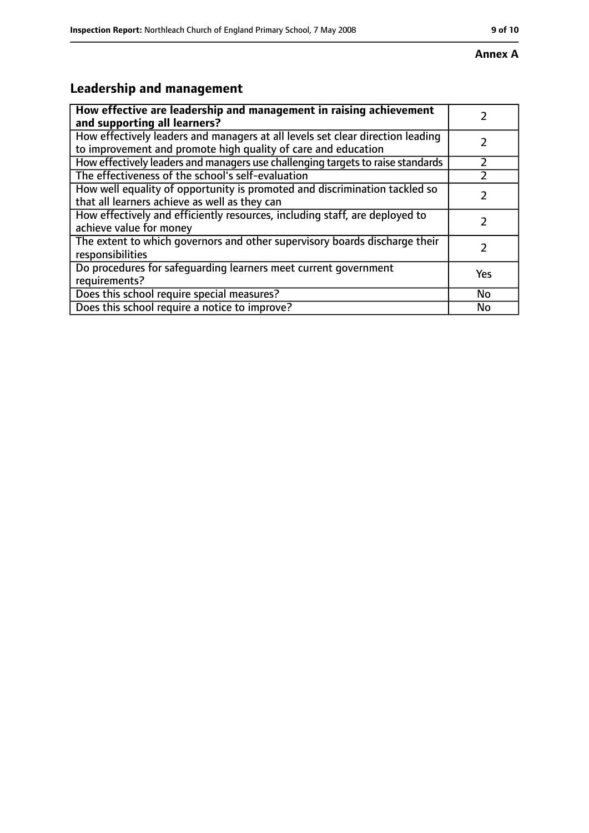#### **Annex A**

# **Leadership and management**

| How effective are leadership and management in raising achievement<br>and supporting all learners?                                              |     |
|-------------------------------------------------------------------------------------------------------------------------------------------------|-----|
| How effectively leaders and managers at all levels set clear direction leading<br>to improvement and promote high quality of care and education |     |
| How effectively leaders and managers use challenging targets to raise standards                                                                 |     |
| The effectiveness of the school's self-evaluation                                                                                               |     |
| How well equality of opportunity is promoted and discrimination tackled so<br>that all learners achieve as well as they can                     |     |
| How effectively and efficiently resources, including staff, are deployed to<br>achieve value for money                                          |     |
| The extent to which governors and other supervisory boards discharge their<br>responsibilities                                                  |     |
| Do procedures for safequarding learners meet current government<br>requirements?                                                                | Yes |
| Does this school require special measures?                                                                                                      | No  |
| Does this school require a notice to improve?                                                                                                   | No  |